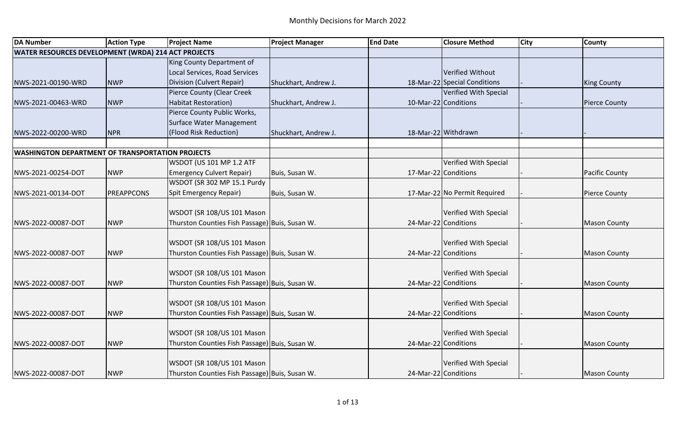| <b>DA Number</b>                                        | <b>Action Type</b> | <b>Project Name</b>                            | <b>Project Manager</b> | <b>End Date</b>      | <b>Closure Method</b>        | <b>City</b> | <b>County</b>         |
|---------------------------------------------------------|--------------------|------------------------------------------------|------------------------|----------------------|------------------------------|-------------|-----------------------|
| WATER RESOURCES DEVELOPMENT (WRDA) 214 ACT PROJECTS     |                    |                                                |                        |                      |                              |             |                       |
|                                                         |                    | King County Department of                      |                        |                      |                              |             |                       |
|                                                         |                    | Local Services, Road Services                  |                        |                      | Verified Without             |             |                       |
| NWS-2021-00190-WRD                                      | <b>NWP</b>         | Division (Culvert Repair)                      | Shuckhart, Andrew J.   |                      | 18-Mar-22 Special Conditions |             | <b>King County</b>    |
|                                                         |                    | Pierce County (Clear Creek                     |                        |                      | Verified With Special        |             |                       |
| NWS-2021-00463-WRD                                      | <b>NWP</b>         | <b>Habitat Restoration)</b>                    | Shuckhart, Andrew J.   | 10-Mar-22 Conditions |                              |             | <b>Pierce County</b>  |
|                                                         |                    | Pierce County Public Works,                    |                        |                      |                              |             |                       |
|                                                         |                    | Surface Water Management                       |                        |                      |                              |             |                       |
| NWS-2022-00200-WRD                                      | <b>NPR</b>         | (Flood Risk Reduction)                         | Shuckhart, Andrew J.   | 18-Mar-22 Withdrawn  |                              |             |                       |
|                                                         |                    |                                                |                        |                      |                              |             |                       |
| <b>WASHINGTON DEPARTMENT OF TRANSPORTATION PROJECTS</b> |                    |                                                |                        |                      |                              |             |                       |
|                                                         |                    | WSDOT (US 101 MP 1.2 ATF                       |                        |                      | Verified With Special        |             |                       |
| NWS-2021-00254-DOT                                      | <b>NWP</b>         | <b>Emergency Culvert Repair)</b>               | Buis, Susan W.         | 17-Mar-22 Conditions |                              |             | <b>Pacific County</b> |
|                                                         |                    | WSDOT (SR 302 MP 15.1 Purdy                    |                        |                      |                              |             |                       |
| NWS-2021-00134-DOT                                      | <b>PREAPPCONS</b>  | Spit Emergency Repair)                         | Buis, Susan W.         |                      | 17-Mar-22 No Permit Required |             | <b>Pierce County</b>  |
|                                                         |                    |                                                |                        |                      |                              |             |                       |
|                                                         |                    | WSDOT (SR 108/US 101 Mason                     |                        |                      | Verified With Special        |             |                       |
| NWS-2022-00087-DOT                                      | <b>NWP</b>         | Thurston Counties Fish Passage) Buis, Susan W. |                        | 24-Mar-22 Conditions |                              |             | <b>Mason County</b>   |
|                                                         |                    |                                                |                        |                      |                              |             |                       |
|                                                         |                    | WSDOT (SR 108/US 101 Mason                     |                        |                      | Verified With Special        |             |                       |
| NWS-2022-00087-DOT                                      | <b>NWP</b>         | Thurston Counties Fish Passage) Buis, Susan W. |                        | 24-Mar-22 Conditions |                              |             | <b>Mason County</b>   |
|                                                         |                    |                                                |                        |                      |                              |             |                       |
|                                                         |                    | WSDOT (SR 108/US 101 Mason                     |                        |                      | Verified With Special        |             |                       |
| NWS-2022-00087-DOT                                      | <b>NWP</b>         | Thurston Counties Fish Passage) Buis, Susan W. |                        | 24-Mar-22 Conditions |                              |             | <b>Mason County</b>   |
|                                                         |                    |                                                |                        |                      |                              |             |                       |
|                                                         |                    | WSDOT (SR 108/US 101 Mason                     |                        |                      | Verified With Special        |             |                       |
| NWS-2022-00087-DOT                                      | <b>NWP</b>         | Thurston Counties Fish Passage) Buis, Susan W. |                        | 24-Mar-22 Conditions |                              |             | <b>Mason County</b>   |
|                                                         |                    |                                                |                        |                      |                              |             |                       |
|                                                         |                    | WSDOT (SR 108/US 101 Mason                     |                        |                      | Verified With Special        |             |                       |
| NWS-2022-00087-DOT                                      | <b>NWP</b>         | Thurston Counties Fish Passage) Buis, Susan W. |                        | 24-Mar-22 Conditions |                              |             | <b>Mason County</b>   |
|                                                         |                    |                                                |                        |                      |                              |             |                       |
|                                                         |                    | WSDOT (SR 108/US 101 Mason                     |                        |                      | Verified With Special        |             |                       |
| NWS-2022-00087-DOT                                      | <b>NWP</b>         | Thurston Counties Fish Passage) Buis, Susan W. |                        | 24-Mar-22 Conditions |                              |             | <b>Mason County</b>   |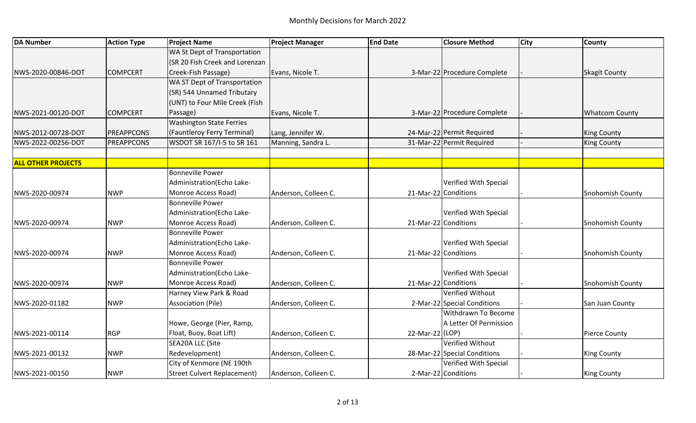| <b>DA Number</b>          | <b>Action Type</b> | <b>Project Name</b>                | <b>Project Manager</b> | <b>End Date</b> | <b>Closure Method</b>        | <b>City</b> | <b>County</b>           |
|---------------------------|--------------------|------------------------------------|------------------------|-----------------|------------------------------|-------------|-------------------------|
|                           |                    | WA St Dept of Transportation       |                        |                 |                              |             |                         |
|                           |                    | (SR 20 Fish Creek and Lorenzan     |                        |                 |                              |             |                         |
| NWS-2020-00846-DOT        | <b>COMPCERT</b>    | Creek-Fish Passage)                | Evans, Nicole T.       |                 | 3-Mar-22 Procedure Complete  |             | <b>Skagit County</b>    |
|                           |                    | WA ST Dept of Transportation       |                        |                 |                              |             |                         |
|                           |                    | (SR) 544 Unnamed Tributary         |                        |                 |                              |             |                         |
|                           |                    | (UNT) to Four Mile Creek (Fish     |                        |                 |                              |             |                         |
| NWS-2021-00120-DOT        | <b>COMPCERT</b>    | Passage)                           | Evans, Nicole T.       |                 | 3-Mar-22 Procedure Complete  |             | <b>Whatcom County</b>   |
|                           |                    | <b>Washington State Ferries</b>    |                        |                 |                              |             |                         |
| NWS-2012-00728-DOT        | PREAPPCONS         | (Fauntleroy Ferry Terminal)        | Lang, Jennifer W.      |                 | 24-Mar-22 Permit Required    |             | <b>King County</b>      |
| NWS-2022-00256-DOT        | <b>PREAPPCONS</b>  | WSDOT SR 167/I-5 to SR 161         | Manning, Sandra L.     |                 | 31-Mar-22 Permit Required    |             | <b>King County</b>      |
| <b>ALL OTHER PROJECTS</b> |                    |                                    |                        |                 |                              |             |                         |
|                           |                    | <b>Bonneville Power</b>            |                        |                 |                              |             |                         |
|                           |                    | Administration(Echo Lake-          |                        |                 | Verified With Special        |             |                         |
| NWS-2020-00974            | <b>NWP</b>         | Monroe Access Road)                | Anderson, Colleen C.   |                 | 21-Mar-22 Conditions         |             | <b>Snohomish County</b> |
|                           |                    | <b>Bonneville Power</b>            |                        |                 |                              |             |                         |
|                           |                    | Administration (Echo Lake-         |                        |                 | Verified With Special        |             |                         |
| NWS-2020-00974            | <b>NWP</b>         | Monroe Access Road)                | Anderson, Colleen C.   |                 | 21-Mar-22 Conditions         |             | Snohomish County        |
|                           |                    | <b>Bonneville Power</b>            |                        |                 |                              |             |                         |
|                           |                    | Administration (Echo Lake-         |                        |                 | Verified With Special        |             |                         |
| NWS-2020-00974            | <b>NWP</b>         | Monroe Access Road)                | Anderson, Colleen C.   |                 | 21-Mar-22 Conditions         |             | <b>Snohomish County</b> |
|                           |                    | <b>Bonneville Power</b>            |                        |                 |                              |             |                         |
|                           |                    | Administration(Echo Lake-          |                        |                 | Verified With Special        |             |                         |
| NWS-2020-00974            | <b>NWP</b>         | Monroe Access Road)                | Anderson, Colleen C.   |                 | 21-Mar-22 Conditions         |             | <b>Snohomish County</b> |
|                           |                    | Harney View Park & Road            |                        |                 | Verified Without             |             |                         |
| NWS-2020-01182            | <b>NWP</b>         | <b>Association (Pile)</b>          | Anderson, Colleen C.   |                 | 2-Mar-22 Special Conditions  |             | San Juan County         |
|                           |                    |                                    |                        |                 | Withdrawn To Become          |             |                         |
|                           |                    | Howe, George (Pier, Ramp,          |                        |                 | A Letter Of Permission       |             |                         |
| NWS-2021-00114            | <b>RGP</b>         | Float, Buoy, Boat Lift)            | Anderson, Colleen C.   | 22-Mar-22 (LOP) |                              |             | <b>Pierce County</b>    |
|                           |                    | SEA20A LLC (Site                   |                        |                 | Verified Without             |             |                         |
| NWS-2021-00132            | <b>NWP</b>         | Redevelopment)                     | Anderson, Colleen C.   |                 | 28-Mar-22 Special Conditions |             | <b>King County</b>      |
|                           |                    | City of Kenmore (NE 190th          |                        |                 | Verified With Special        |             |                         |
| NWS-2021-00150            | <b>NWP</b>         | <b>Street Culvert Replacement)</b> | Anderson, Colleen C.   |                 | 2-Mar-22 Conditions          |             | <b>King County</b>      |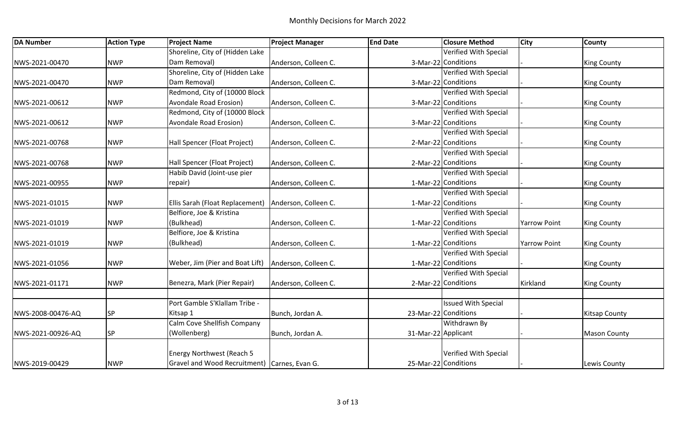| <b>DA Number</b>  | <b>Action Type</b> | <b>Project Name</b>                                    | <b>Project Manager</b> | <b>End Date</b>     | <b>Closure Method</b>      | <b>City</b>         | <b>County</b>        |
|-------------------|--------------------|--------------------------------------------------------|------------------------|---------------------|----------------------------|---------------------|----------------------|
|                   |                    | Shoreline, City of (Hidden Lake                        |                        |                     | Verified With Special      |                     |                      |
| NWS-2021-00470    | <b>NWP</b>         | Dam Removal)                                           | Anderson, Colleen C.   |                     | 3-Mar-22 Conditions        |                     | <b>King County</b>   |
|                   |                    | Shoreline, City of (Hidden Lake                        |                        |                     | Verified With Special      |                     |                      |
| NWS-2021-00470    | <b>NWP</b>         | Dam Removal)                                           | Anderson, Colleen C.   |                     | 3-Mar-22 Conditions        |                     | <b>King County</b>   |
|                   |                    | Redmond, City of (10000 Block                          |                        |                     | Verified With Special      |                     |                      |
| NWS-2021-00612    | <b>NWP</b>         | Avondale Road Erosion)                                 | Anderson, Colleen C.   |                     | 3-Mar-22 Conditions        |                     | <b>King County</b>   |
|                   |                    | Redmond, City of (10000 Block                          |                        |                     | Verified With Special      |                     |                      |
| NWS-2021-00612    | <b>NWP</b>         | Avondale Road Erosion)                                 | Anderson, Colleen C.   |                     | 3-Mar-22 Conditions        |                     | <b>King County</b>   |
|                   |                    |                                                        |                        |                     | Verified With Special      |                     |                      |
| NWS-2021-00768    | <b>NWP</b>         | Hall Spencer (Float Project)                           | Anderson, Colleen C.   |                     | 2-Mar-22 Conditions        |                     | <b>King County</b>   |
|                   |                    |                                                        |                        |                     | Verified With Special      |                     |                      |
| NWS-2021-00768    | <b>NWP</b>         | Hall Spencer (Float Project)                           | Anderson, Colleen C.   |                     | 2-Mar-22 Conditions        |                     | <b>King County</b>   |
|                   |                    | Habib David (Joint-use pier                            |                        |                     | Verified With Special      |                     |                      |
| NWS-2021-00955    | <b>NWP</b>         | repair)                                                | Anderson, Colleen C.   |                     | 1-Mar-22 Conditions        |                     | <b>King County</b>   |
|                   |                    |                                                        |                        |                     | Verified With Special      |                     |                      |
| NWS-2021-01015    | <b>NWP</b>         | Ellis Sarah (Float Replacement)   Anderson, Colleen C. |                        |                     | 1-Mar-22 Conditions        |                     | <b>King County</b>   |
|                   |                    | Belfiore, Joe & Kristina                               |                        |                     | Verified With Special      |                     |                      |
| NWS-2021-01019    | <b>NWP</b>         | (Bulkhead)                                             | Anderson, Colleen C.   |                     | 1-Mar-22 Conditions        | <b>Yarrow Point</b> | <b>King County</b>   |
|                   |                    | Belfiore, Joe & Kristina                               |                        |                     | Verified With Special      |                     |                      |
| NWS-2021-01019    | <b>NWP</b>         | (Bulkhead)                                             | Anderson, Colleen C.   |                     | 1-Mar-22 Conditions        | <b>Yarrow Point</b> | <b>King County</b>   |
|                   |                    |                                                        |                        |                     | Verified With Special      |                     |                      |
| NWS-2021-01056    | <b>NWP</b>         | Weber, Jim (Pier and Boat Lift)                        | Anderson, Colleen C.   |                     | 1-Mar-22 Conditions        |                     | <b>King County</b>   |
|                   |                    |                                                        |                        |                     | Verified With Special      |                     |                      |
| NWS-2021-01171    | <b>NWP</b>         | Benezra, Mark (Pier Repair)                            | Anderson, Colleen C.   |                     | 2-Mar-22 Conditions        | Kirkland            | <b>King County</b>   |
|                   |                    |                                                        |                        |                     |                            |                     |                      |
|                   |                    | Port Gamble S'Klallam Tribe -                          |                        |                     | <b>Issued With Special</b> |                     |                      |
| NWS-2008-00476-AQ | <b>SP</b>          | Kitsap 1                                               | Bunch, Jordan A.       |                     | 23-Mar-22 Conditions       |                     | <b>Kitsap County</b> |
|                   |                    | Calm Cove Shellfish Company                            |                        |                     | Withdrawn By               |                     |                      |
| NWS-2021-00926-AQ | SP                 | (Wollenberg)                                           | Bunch, Jordan A.       | 31-Mar-22 Applicant |                            |                     | <b>Mason County</b>  |
|                   |                    |                                                        |                        |                     |                            |                     |                      |
|                   |                    | Energy Northwest (Reach 5                              |                        |                     | Verified With Special      |                     |                      |
| NWS-2019-00429    | <b>NWP</b>         | Gravel and Wood Recruitment) Carnes, Evan G.           |                        |                     | 25-Mar-22 Conditions       |                     | Lewis County         |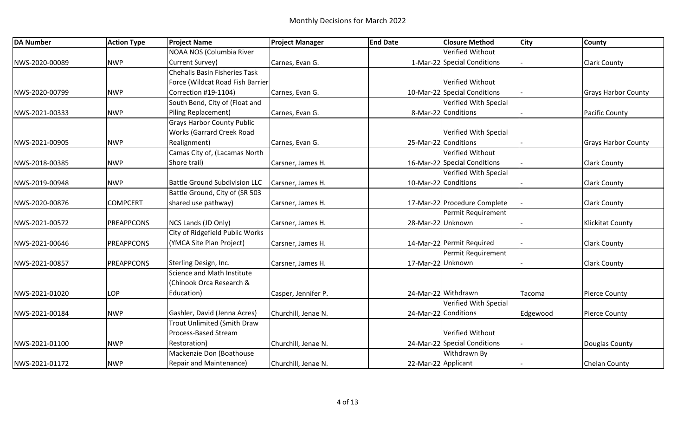| <b>DA Number</b> | <b>Action Type</b> | <b>Project Name</b>                  | <b>Project Manager</b> | <b>End Date</b>     | <b>Closure Method</b>        | <b>City</b> | <b>County</b>              |
|------------------|--------------------|--------------------------------------|------------------------|---------------------|------------------------------|-------------|----------------------------|
|                  |                    | NOAA NOS (Columbia River             |                        |                     | Verified Without             |             |                            |
| NWS-2020-00089   | <b>NWP</b>         | Current Survey)                      | Carnes, Evan G.        |                     | 1-Mar-22 Special Conditions  |             | <b>Clark County</b>        |
|                  |                    | <b>Chehalis Basin Fisheries Task</b> |                        |                     |                              |             |                            |
|                  |                    | Force (Wildcat Road Fish Barrier     |                        |                     | Verified Without             |             |                            |
| NWS-2020-00799   | <b>NWP</b>         | Correction #19-1104)                 | Carnes, Evan G.        |                     | 10-Mar-22 Special Conditions |             | <b>Grays Harbor County</b> |
|                  |                    | South Bend, City of (Float and       |                        |                     | <b>Verified With Special</b> |             |                            |
| NWS-2021-00333   | <b>NWP</b>         | Piling Replacement)                  | Carnes, Evan G.        |                     | 8-Mar-22 Conditions          |             | <b>Pacific County</b>      |
|                  |                    | <b>Grays Harbor County Public</b>    |                        |                     |                              |             |                            |
|                  |                    | <b>Works (Garrard Creek Road</b>     |                        |                     | Verified With Special        |             |                            |
| NWS-2021-00905   | <b>NWP</b>         | Realignment)                         | Carnes, Evan G.        |                     | 25-Mar-22 Conditions         |             | <b>Grays Harbor County</b> |
|                  |                    | Camas City of, (Lacamas North        |                        |                     | Verified Without             |             |                            |
| NWS-2018-00385   | <b>NWP</b>         | Shore trail)                         | Carsner, James H.      |                     | 16-Mar-22 Special Conditions |             | <b>Clark County</b>        |
|                  |                    |                                      |                        |                     | Verified With Special        |             |                            |
| NWS-2019-00948   | <b>NWP</b>         | <b>Battle Ground Subdivision LLC</b> | Carsner, James H.      |                     | 10-Mar-22 Conditions         |             | <b>Clark County</b>        |
|                  |                    | Battle Ground, City of (SR 503       |                        |                     |                              |             |                            |
| NWS-2020-00876   | <b>COMPCERT</b>    | shared use pathway)                  | Carsner, James H.      |                     | 17-Mar-22 Procedure Complete |             | <b>Clark County</b>        |
|                  |                    |                                      |                        |                     | Permit Requirement           |             |                            |
| NWS-2021-00572   | <b>PREAPPCONS</b>  | NCS Lands (JD Only)                  | Carsner, James H.      | 28-Mar-22 Unknown   |                              |             | <b>Klickitat County</b>    |
|                  |                    | City of Ridgefield Public Works      |                        |                     |                              |             |                            |
| NWS-2021-00646   | <b>PREAPPCONS</b>  | (YMCA Site Plan Project)             | Carsner, James H.      |                     | 14-Mar-22 Permit Required    |             | <b>Clark County</b>        |
|                  |                    |                                      |                        |                     | Permit Requirement           |             |                            |
| NWS-2021-00857   | <b>PREAPPCONS</b>  | Sterling Design, Inc.                | Carsner, James H.      | 17-Mar-22 Unknown   |                              |             | <b>Clark County</b>        |
|                  |                    | Science and Math Institute           |                        |                     |                              |             |                            |
|                  |                    | (Chinook Orca Research &             |                        |                     |                              |             |                            |
| NWS-2021-01020   | <b>LOP</b>         | Education)                           | Casper, Jennifer P.    |                     | 24-Mar-22 Withdrawn          | Tacoma      | <b>Pierce County</b>       |
|                  |                    |                                      |                        |                     | Verified With Special        |             |                            |
| NWS-2021-00184   | <b>NWP</b>         | Gashler, David (Jenna Acres)         | Churchill, Jenae N.    |                     | 24-Mar-22 Conditions         | Edgewood    | <b>Pierce County</b>       |
|                  |                    | Trout Unlimited (Smith Draw          |                        |                     |                              |             |                            |
|                  |                    | Process-Based Stream                 |                        |                     | Verified Without             |             |                            |
| NWS-2021-01100   | <b>NWP</b>         | Restoration)                         | Churchill, Jenae N.    |                     | 24-Mar-22 Special Conditions |             | Douglas County             |
|                  |                    | Mackenzie Don (Boathouse             |                        |                     | Withdrawn By                 |             |                            |
| NWS-2021-01172   | <b>NWP</b>         | <b>Repair and Maintenance)</b>       | Churchill, Jenae N.    | 22-Mar-22 Applicant |                              |             | <b>Chelan County</b>       |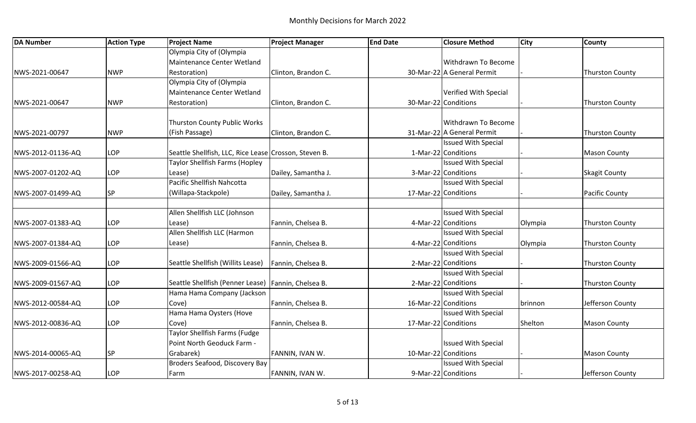| <b>DA Number</b>  | <b>Action Type</b> | <b>Project Name</b>                                    | <b>Project Manager</b> | <b>End Date</b>      | <b>Closure Method</b>      | <b>City</b> | <b>County</b>          |
|-------------------|--------------------|--------------------------------------------------------|------------------------|----------------------|----------------------------|-------------|------------------------|
|                   |                    | Olympia City of (Olympia                               |                        |                      |                            |             |                        |
|                   |                    | Maintenance Center Wetland                             |                        |                      | <b>Withdrawn To Become</b> |             |                        |
| NWS-2021-00647    | <b>NWP</b>         | Restoration)                                           | Clinton, Brandon C.    |                      | 30-Mar-22 A General Permit |             | <b>Thurston County</b> |
|                   |                    | Olympia City of (Olympia                               |                        |                      |                            |             |                        |
|                   |                    | Maintenance Center Wetland                             |                        |                      | Verified With Special      |             |                        |
| NWS-2021-00647    | <b>NWP</b>         | Restoration)                                           | Clinton, Brandon C.    | 30-Mar-22 Conditions |                            |             | <b>Thurston County</b> |
|                   |                    |                                                        |                        |                      |                            |             |                        |
|                   |                    | Thurston County Public Works                           |                        |                      | Withdrawn To Become        |             |                        |
| NWS-2021-00797    | <b>NWP</b>         | (Fish Passage)                                         | Clinton, Brandon C.    |                      | 31-Mar-22 A General Permit |             | <b>Thurston County</b> |
|                   |                    |                                                        |                        |                      | <b>Issued With Special</b> |             |                        |
| NWS-2012-01136-AQ | LOP                | Seattle Shellfish, LLC, Rice Lease Crosson, Steven B.  |                        |                      | 1-Mar-22 Conditions        |             | <b>Mason County</b>    |
|                   |                    | Taylor Shellfish Farms (Hopley                         |                        |                      | <b>Issued With Special</b> |             |                        |
| NWS-2007-01202-AQ | LOP                | Lease)                                                 | Dailey, Samantha J.    |                      | 3-Mar-22 Conditions        |             | <b>Skagit County</b>   |
|                   |                    | Pacific Shellfish Nahcotta                             |                        |                      | <b>Issued With Special</b> |             |                        |
| NWS-2007-01499-AQ | <b>SP</b>          | (Willapa-Stackpole)                                    | Dailey, Samantha J.    | 17-Mar-22 Conditions |                            |             | Pacific County         |
|                   |                    |                                                        |                        |                      |                            |             |                        |
|                   |                    | Allen Shellfish LLC (Johnson                           |                        |                      | <b>Issued With Special</b> |             |                        |
| NWS-2007-01383-AQ | LOP                | Lease)                                                 | Fannin, Chelsea B.     |                      | 4-Mar-22 Conditions        | Olympia     | <b>Thurston County</b> |
|                   |                    | Allen Shellfish LLC (Harmon                            |                        |                      | <b>Issued With Special</b> |             |                        |
| NWS-2007-01384-AQ | LOP                | Lease)                                                 | Fannin, Chelsea B.     |                      | 4-Mar-22 Conditions        | Olympia     | <b>Thurston County</b> |
|                   |                    |                                                        |                        |                      | <b>Issued With Special</b> |             |                        |
| NWS-2009-01566-AQ | LOP                | Seattle Shellfish (Willits Lease)   Fannin, Chelsea B. |                        |                      | 2-Mar-22 Conditions        |             | <b>Thurston County</b> |
|                   |                    |                                                        |                        |                      | <b>Issued With Special</b> |             |                        |
| NWS-2009-01567-AQ | LOP                | Seattle Shellfish (Penner Lease)   Fannin, Chelsea B.  |                        |                      | 2-Mar-22 Conditions        |             | <b>Thurston County</b> |
|                   |                    | Hama Hama Company (Jackson                             |                        |                      | <b>Issued With Special</b> |             |                        |
| NWS-2012-00584-AQ | LOP                | Cove)                                                  | Fannin, Chelsea B.     | 16-Mar-22 Conditions |                            | brinnon     | Jefferson County       |
|                   |                    | Hama Hama Oysters (Hove                                |                        |                      | <b>Issued With Special</b> |             |                        |
| NWS-2012-00836-AQ | LOP                | Cove)                                                  | Fannin, Chelsea B.     | 17-Mar-22 Conditions |                            | Shelton     | <b>Mason County</b>    |
|                   |                    | <b>Taylor Shellfish Farms (Fudge</b>                   |                        |                      |                            |             |                        |
|                   |                    | Point North Geoduck Farm -                             |                        |                      | <b>Issued With Special</b> |             |                        |
| NWS-2014-00065-AQ | SP                 | Grabarek)                                              | FANNIN, IVAN W.        | 10-Mar-22 Conditions |                            |             | <b>Mason County</b>    |
|                   |                    | Broders Seafood, Discovery Bay                         |                        |                      | <b>Issued With Special</b> |             |                        |
| NWS-2017-00258-AQ | LOP                | Farm                                                   | FANNIN, IVAN W.        |                      | 9-Mar-22 Conditions        |             | Jefferson County       |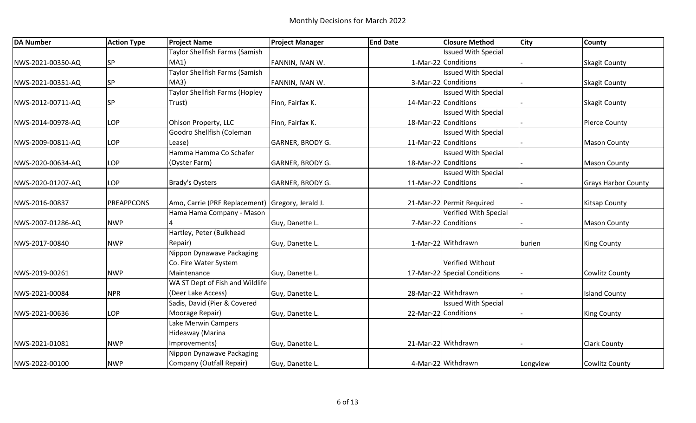| <b>DA Number</b>  | <b>Action Type</b> | <b>Project Name</b>                                                           | <b>Project Manager</b>  | <b>End Date</b> | <b>Closure Method</b>        | <b>City</b> | <b>County</b>              |
|-------------------|--------------------|-------------------------------------------------------------------------------|-------------------------|-----------------|------------------------------|-------------|----------------------------|
|                   |                    | Taylor Shellfish Farms (Samish                                                |                         |                 | <b>Issued With Special</b>   |             |                            |
| NWS-2021-00350-AQ | SP                 | MA1)                                                                          | FANNIN, IVAN W.         |                 | 1-Mar-22 Conditions          |             | <b>Skagit County</b>       |
|                   |                    | <b>Taylor Shellfish Farms (Samish</b>                                         |                         |                 | <b>Issued With Special</b>   |             |                            |
| NWS-2021-00351-AQ | <b>SP</b>          | MA3)                                                                          | FANNIN, IVAN W.         |                 | 3-Mar-22 Conditions          |             | <b>Skagit County</b>       |
|                   |                    | <b>Taylor Shellfish Farms (Hopley</b>                                         |                         |                 | <b>Issued With Special</b>   |             |                            |
| NWS-2012-00711-AQ | <b>SP</b>          | Trust)                                                                        | Finn, Fairfax K.        |                 | 14-Mar-22 Conditions         |             | <b>Skagit County</b>       |
|                   |                    |                                                                               |                         |                 | <b>Issued With Special</b>   |             |                            |
| NWS-2014-00978-AQ | <b>LOP</b>         | Ohlson Property, LLC                                                          | Finn, Fairfax K.        |                 | 18-Mar-22 Conditions         |             | <b>Pierce County</b>       |
|                   |                    | Goodro Shellfish (Coleman                                                     |                         |                 | <b>Issued With Special</b>   |             |                            |
| NWS-2009-00811-AQ | <b>LOP</b>         | Lease)                                                                        | <b>GARNER, BRODY G.</b> |                 | 11-Mar-22 Conditions         |             | <b>Mason County</b>        |
|                   |                    | Hamma Hamma Co Schafer                                                        |                         |                 | <b>Issued With Special</b>   |             |                            |
| NWS-2020-00634-AQ | <b>LOP</b>         | (Oyster Farm)                                                                 | <b>GARNER, BRODY G.</b> |                 | 18-Mar-22 Conditions         |             | <b>Mason County</b>        |
|                   |                    |                                                                               |                         |                 | <b>Issued With Special</b>   |             |                            |
| NWS-2020-01207-AQ | <b>LOP</b>         | <b>Brady's Oysters</b>                                                        | <b>GARNER, BRODY G.</b> |                 | 11-Mar-22 Conditions         |             | <b>Grays Harbor County</b> |
|                   | <b>PREAPPCONS</b>  |                                                                               |                         |                 | 21-Mar-22 Permit Required    |             |                            |
| NWS-2016-00837    |                    | Amo, Carrie (PRF Replacement) Gregory, Jerald J.<br>Hama Hama Company - Mason |                         |                 | Verified With Special        |             | <b>Kitsap County</b>       |
|                   | <b>NWP</b>         |                                                                               |                         |                 | 7-Mar-22 Conditions          |             |                            |
| NWS-2007-01286-AQ |                    | Hartley, Peter (Bulkhead                                                      | Guy, Danette L.         |                 |                              |             | <b>Mason County</b>        |
|                   |                    |                                                                               |                         |                 | 1-Mar-22 Withdrawn           |             |                            |
| NWS-2017-00840    | <b>NWP</b>         | Repair)<br>Nippon Dynawave Packaging                                          | Guy, Danette L.         |                 |                              | burien      | <b>King County</b>         |
|                   |                    |                                                                               |                         |                 | Verified Without             |             |                            |
|                   | <b>NWP</b>         | Co. Fire Water System<br>Maintenance                                          |                         |                 | 17-Mar-22 Special Conditions |             |                            |
| NWS-2019-00261    |                    | WA ST Dept of Fish and Wildlife                                               | Guy, Danette L.         |                 |                              |             | <b>Cowlitz County</b>      |
| NWS-2021-00084    | <b>NPR</b>         | (Deer Lake Access)                                                            |                         |                 | 28-Mar-22 Withdrawn          |             | <b>Island County</b>       |
|                   |                    | Sadis, David (Pier & Covered                                                  | Guy, Danette L.         |                 | <b>Issued With Special</b>   |             |                            |
| NWS-2021-00636    | <b>LOP</b>         | Moorage Repair)                                                               |                         |                 | 22-Mar-22 Conditions         |             |                            |
|                   |                    | Lake Merwin Campers                                                           | Guy, Danette L.         |                 |                              |             | <b>King County</b>         |
|                   |                    |                                                                               |                         |                 |                              |             |                            |
|                   |                    | Hideaway (Marina                                                              |                         |                 |                              |             |                            |
| NWS-2021-01081    | <b>NWP</b>         | Improvements)                                                                 | Guy, Danette L.         |                 | 21-Mar-22 Withdrawn          |             | <b>Clark County</b>        |
|                   |                    | Nippon Dynawave Packaging                                                     |                         |                 |                              |             |                            |
| NWS-2022-00100    | <b>NWP</b>         | Company (Outfall Repair)                                                      | Guy, Danette L.         |                 | 4-Mar-22 Withdrawn           | Longview    | <b>Cowlitz County</b>      |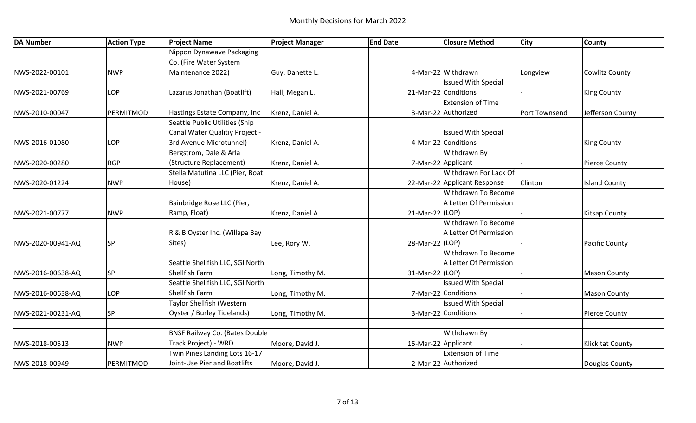| <b>DA Number</b>  | <b>Action Type</b> | <b>Project Name</b>                   | <b>Project Manager</b> | <b>End Date</b>     | <b>Closure Method</b>        | <b>City</b>   | <b>County</b>           |
|-------------------|--------------------|---------------------------------------|------------------------|---------------------|------------------------------|---------------|-------------------------|
|                   |                    | Nippon Dynawave Packaging             |                        |                     |                              |               |                         |
|                   |                    | Co. (Fire Water System                |                        |                     |                              |               |                         |
| NWS-2022-00101    | <b>NWP</b>         | Maintenance 2022)                     | Guy, Danette L.        |                     | 4-Mar-22 Withdrawn           | Longview      | <b>Cowlitz County</b>   |
|                   |                    |                                       |                        |                     | <b>Issued With Special</b>   |               |                         |
| NWS-2021-00769    | LOP                | Lazarus Jonathan (Boatlift)           | Hall, Megan L.         |                     | 21-Mar-22 Conditions         |               | <b>King County</b>      |
|                   |                    |                                       |                        |                     | <b>Extension of Time</b>     |               |                         |
| NWS-2010-00047    | PERMITMOD          | Hastings Estate Company, Inc          | Krenz, Daniel A.       |                     | 3-Mar-22 Authorized          | Port Townsend | Jefferson County        |
|                   |                    | Seattle Public Utilities (Ship        |                        |                     |                              |               |                         |
|                   |                    | Canal Water Qualitiy Project -        |                        |                     | <b>Issued With Special</b>   |               |                         |
| NWS-2016-01080    | LOP                | 3rd Avenue Microtunnel)               | Krenz, Daniel A.       |                     | 4-Mar-22 Conditions          |               | <b>King County</b>      |
|                   |                    | Bergstrom, Dale & Arla                |                        |                     | Withdrawn By                 |               |                         |
| NWS-2020-00280    | <b>RGP</b>         | (Structure Replacement)               | Krenz, Daniel A.       |                     | 7-Mar-22 Applicant           |               | <b>Pierce County</b>    |
|                   |                    | Stella Matutina LLC (Pier, Boat       |                        |                     | Withdrawn For Lack Of        |               |                         |
| NWS-2020-01224    | <b>NWP</b>         | House)                                | Krenz, Daniel A.       |                     | 22-Mar-22 Applicant Response | Clinton       | <b>Island County</b>    |
|                   |                    |                                       |                        |                     | Withdrawn To Become          |               |                         |
|                   |                    | Bainbridge Rose LLC (Pier,            |                        |                     | A Letter Of Permission       |               |                         |
| NWS-2021-00777    | <b>NWP</b>         | Ramp, Float)                          | Krenz, Daniel A.       | 21-Mar-22 (LOP)     |                              |               | <b>Kitsap County</b>    |
|                   |                    |                                       |                        |                     | Withdrawn To Become          |               |                         |
|                   |                    | R & B Oyster Inc. (Willapa Bay        |                        |                     | A Letter Of Permission       |               |                         |
| NWS-2020-00941-AQ | <b>SP</b>          | Sites)                                | Lee, Rory W.           | 28-Mar-22 (LOP)     |                              |               | <b>Pacific County</b>   |
|                   |                    |                                       |                        |                     | Withdrawn To Become          |               |                         |
|                   |                    | Seattle Shellfish LLC, SGI North      |                        |                     | A Letter Of Permission       |               |                         |
| NWS-2016-00638-AQ | <b>SP</b>          | Shellfish Farm                        | Long, Timothy M.       | 31-Mar-22 (LOP)     |                              |               | <b>Mason County</b>     |
|                   |                    | Seattle Shellfish LLC, SGI North      |                        |                     | <b>Issued With Special</b>   |               |                         |
| NWS-2016-00638-AQ | <b>LOP</b>         | Shellfish Farm                        | Long, Timothy M.       |                     | 7-Mar-22 Conditions          |               | <b>Mason County</b>     |
|                   |                    | Taylor Shellfish (Western             |                        |                     | <b>Issued With Special</b>   |               |                         |
| NWS-2021-00231-AQ | SP                 | Oyster / Burley Tidelands)            | Long, Timothy M.       |                     | 3-Mar-22 Conditions          |               | <b>Pierce County</b>    |
|                   |                    |                                       |                        |                     |                              |               |                         |
|                   |                    | <b>BNSF Railway Co. (Bates Double</b> |                        |                     | Withdrawn By                 |               |                         |
| NWS-2018-00513    | <b>NWP</b>         | Track Project) - WRD                  | Moore, David J.        | 15-Mar-22 Applicant |                              |               | <b>Klickitat County</b> |
|                   |                    | Twin Pines Landing Lots 16-17         |                        |                     | <b>Extension of Time</b>     |               |                         |
| NWS-2018-00949    | PERMITMOD          | Joint-Use Pier and Boatlifts          | Moore, David J.        |                     | 2-Mar-22 Authorized          |               | Douglas County          |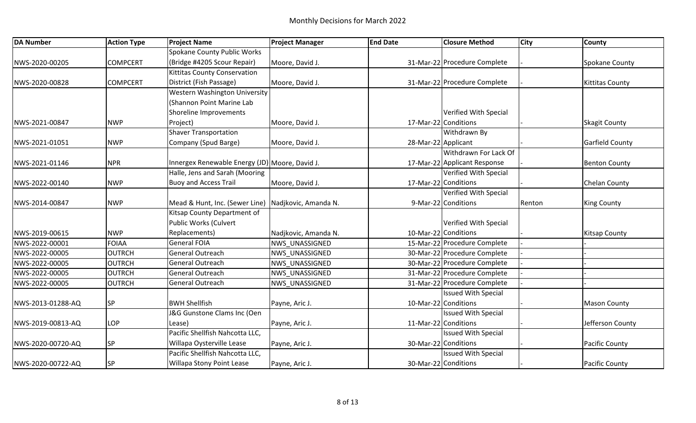| <b>DA Number</b>  | <b>Action Type</b> | <b>Project Name</b>                                 | <b>Project Manager</b> | <b>End Date</b>      | <b>Closure Method</b>        | <b>City</b> | <b>County</b>          |
|-------------------|--------------------|-----------------------------------------------------|------------------------|----------------------|------------------------------|-------------|------------------------|
|                   |                    | <b>Spokane County Public Works</b>                  |                        |                      |                              |             |                        |
| NWS-2020-00205    | <b>COMPCERT</b>    | (Bridge #4205 Scour Repair)                         | Moore, David J.        |                      | 31-Mar-22 Procedure Complete |             | Spokane County         |
|                   |                    | <b>Kittitas County Conservation</b>                 |                        |                      |                              |             |                        |
| NWS-2020-00828    | <b>COMPCERT</b>    | District (Fish Passage)                             | Moore, David J.        |                      | 31-Mar-22 Procedure Complete |             | <b>Kittitas County</b> |
|                   |                    | Western Washington University                       |                        |                      |                              |             |                        |
|                   |                    | (Shannon Point Marine Lab                           |                        |                      |                              |             |                        |
|                   |                    | Shoreline Improvements                              |                        |                      | Verified With Special        |             |                        |
| NWS-2021-00847    | <b>NWP</b>         | Project)                                            | Moore, David J.        | 17-Mar-22 Conditions |                              |             | <b>Skagit County</b>   |
|                   |                    | <b>Shaver Transportation</b>                        |                        |                      | Withdrawn By                 |             |                        |
| NWS-2021-01051    | <b>NWP</b>         | Company (Spud Barge)                                | Moore, David J.        | 28-Mar-22 Applicant  |                              |             | <b>Garfield County</b> |
|                   |                    |                                                     |                        |                      | Withdrawn For Lack Of        |             |                        |
| NWS-2021-01146    | <b>NPR</b>         | Innergex Renewable Energy (JD) Moore, David J.      |                        |                      | 17-Mar-22 Applicant Response |             | <b>Benton County</b>   |
|                   |                    | Halle, Jens and Sarah (Mooring                      |                        |                      | Verified With Special        |             |                        |
| NWS-2022-00140    | <b>NWP</b>         | <b>Buoy and Access Trail</b>                        | Moore, David J.        | 17-Mar-22 Conditions |                              |             | <b>Chelan County</b>   |
|                   |                    |                                                     |                        |                      | Verified With Special        |             |                        |
| NWS-2014-00847    | <b>NWP</b>         | Mead & Hunt, Inc. (Sewer Line) Nadjkovic, Amanda N. |                        |                      | 9-Mar-22 Conditions          | Renton      | <b>King County</b>     |
|                   |                    | Kitsap County Department of                         |                        |                      |                              |             |                        |
|                   |                    | Public Works (Culvert                               |                        |                      | Verified With Special        |             |                        |
| NWS-2019-00615    | <b>NWP</b>         | Replacements)                                       | Nadjkovic, Amanda N.   | 10-Mar-22 Conditions |                              |             | <b>Kitsap County</b>   |
| NWS-2022-00001    | <b>FOIAA</b>       | <b>General FOIA</b>                                 | NWS UNASSIGNED         |                      | 15-Mar-22 Procedure Complete |             |                        |
| NWS-2022-00005    | <b>OUTRCH</b>      | General Outreach                                    | NWS UNASSIGNED         |                      | 30-Mar-22 Procedure Complete |             |                        |
| NWS-2022-00005    | <b>OUTRCH</b>      | General Outreach                                    | NWS UNASSIGNED         |                      | 30-Mar-22 Procedure Complete |             |                        |
| NWS-2022-00005    | <b>OUTRCH</b>      | General Outreach                                    | NWS UNASSIGNED         |                      | 31-Mar-22 Procedure Complete |             |                        |
| NWS-2022-00005    | <b>OUTRCH</b>      | General Outreach                                    | NWS UNASSIGNED         |                      | 31-Mar-22 Procedure Complete |             |                        |
|                   |                    |                                                     |                        |                      | <b>Issued With Special</b>   |             |                        |
| NWS-2013-01288-AQ | SP                 | <b>BWH Shellfish</b>                                | Payne, Aric J.         | 10-Mar-22 Conditions |                              |             | <b>Mason County</b>    |
|                   |                    | J&G Gunstone Clams Inc (Oen                         |                        |                      | <b>Issued With Special</b>   |             |                        |
| NWS-2019-00813-AQ | LOP                | Lease)                                              | Payne, Aric J.         | 11-Mar-22 Conditions |                              |             | Jefferson County       |
|                   |                    | Pacific Shellfish Nahcotta LLC,                     |                        |                      | <b>Issued With Special</b>   |             |                        |
| NWS-2020-00720-AQ | SP                 | Willapa Oysterville Lease                           | Payne, Aric J.         |                      | 30-Mar-22 Conditions         |             | <b>Pacific County</b>  |
|                   |                    | Pacific Shellfish Nahcotta LLC,                     |                        |                      | <b>Issued With Special</b>   |             |                        |
| NWS-2020-00722-AQ | SP                 | Willapa Stony Point Lease                           | Payne, Aric J.         |                      | 30-Mar-22 Conditions         |             | <b>Pacific County</b>  |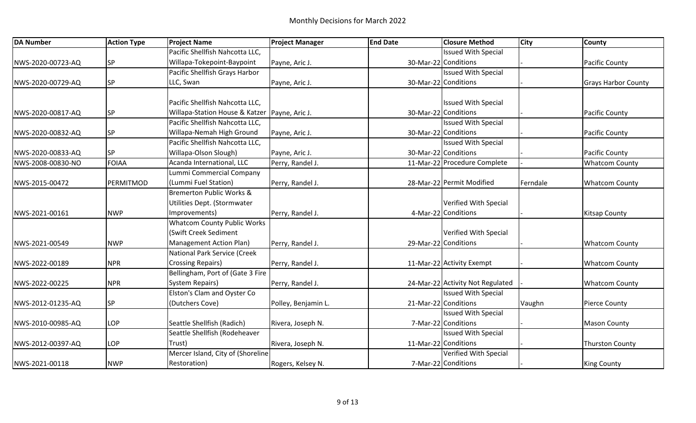| <b>DA Number</b>  | <b>Action Type</b> | <b>Project Name</b>                             | <b>Project Manager</b> | <b>End Date</b> | <b>Closure Method</b>            | <b>City</b> | <b>County</b>              |
|-------------------|--------------------|-------------------------------------------------|------------------------|-----------------|----------------------------------|-------------|----------------------------|
|                   |                    | Pacific Shellfish Nahcotta LLC,                 |                        |                 | <b>Issued With Special</b>       |             |                            |
| NWS-2020-00723-AQ | <b>SP</b>          | Willapa-Tokepoint-Baypoint                      | Payne, Aric J.         |                 | 30-Mar-22 Conditions             |             | <b>Pacific County</b>      |
|                   |                    | Pacific Shellfish Grays Harbor                  |                        |                 | <b>Issued With Special</b>       |             |                            |
| NWS-2020-00729-AQ | <b>SP</b>          | LLC, Swan                                       | Payne, Aric J.         |                 | 30-Mar-22 Conditions             |             | <b>Grays Harbor County</b> |
|                   |                    |                                                 |                        |                 |                                  |             |                            |
|                   |                    | Pacific Shellfish Nahcotta LLC,                 |                        |                 | <b>Issued With Special</b>       |             |                            |
| NWS-2020-00817-AQ | <b>SP</b>          | Willapa-Station House & Katzer   Payne, Aric J. |                        |                 | 30-Mar-22 Conditions             |             | <b>Pacific County</b>      |
|                   |                    | Pacific Shellfish Nahcotta LLC,                 |                        |                 | <b>Issued With Special</b>       |             |                            |
| NWS-2020-00832-AQ | <b>SP</b>          | Willapa-Nemah High Ground                       | Payne, Aric J.         |                 | 30-Mar-22 Conditions             |             | <b>Pacific County</b>      |
|                   |                    | Pacific Shellfish Nahcotta LLC,                 |                        |                 | <b>Issued With Special</b>       |             |                            |
| NWS-2020-00833-AQ | <b>SP</b>          | Willapa-Olson Slough)                           | Payne, Aric J.         |                 | 30-Mar-22 Conditions             |             | <b>Pacific County</b>      |
| NWS-2008-00830-NO | <b>FOIAA</b>       | Acanda International, LLC                       | Perry, Randel J.       |                 | 11-Mar-22 Procedure Complete     |             | <b>Whatcom County</b>      |
|                   |                    | Lummi Commercial Company                        |                        |                 |                                  |             |                            |
| NWS-2015-00472    | PERMITMOD          | (Lummi Fuel Station)                            | Perry, Randel J.       |                 | 28-Mar-22 Permit Modified        | Ferndale    | <b>Whatcom County</b>      |
|                   |                    | <b>Bremerton Public Works &amp;</b>             |                        |                 |                                  |             |                            |
|                   |                    | Utilities Dept. (Stormwater                     |                        |                 | Verified With Special            |             |                            |
| NWS-2021-00161    | <b>NWP</b>         | Improvements)                                   | Perry, Randel J.       |                 | 4-Mar-22 Conditions              |             | <b>Kitsap County</b>       |
|                   |                    | <b>Whatcom County Public Works</b>              |                        |                 |                                  |             |                            |
|                   |                    | (Swift Creek Sediment                           |                        |                 | Verified With Special            |             |                            |
| NWS-2021-00549    | <b>NWP</b>         | <b>Management Action Plan)</b>                  | Perry, Randel J.       |                 | 29-Mar-22 Conditions             |             | <b>Whatcom County</b>      |
|                   |                    | <b>National Park Service (Creek</b>             |                        |                 |                                  |             |                            |
| NWS-2022-00189    | <b>NPR</b>         | <b>Crossing Repairs)</b>                        | Perry, Randel J.       |                 | 11-Mar-22 Activity Exempt        |             | <b>Whatcom County</b>      |
|                   |                    | Bellingham, Port of (Gate 3 Fire                |                        |                 |                                  |             |                            |
| NWS-2022-00225    | <b>NPR</b>         | <b>System Repairs)</b>                          | Perry, Randel J.       |                 | 24-Mar-22 Activity Not Regulated |             | <b>Whatcom County</b>      |
|                   |                    | Elston's Clam and Oyster Co                     |                        |                 | <b>Issued With Special</b>       |             |                            |
| NWS-2012-01235-AQ | <b>SP</b>          | (Dutchers Cove)                                 | Polley, Benjamin L.    |                 | 21-Mar-22 Conditions             | Vaughn      | <b>Pierce County</b>       |
|                   |                    |                                                 |                        |                 | <b>Issued With Special</b>       |             |                            |
| NWS-2010-00985-AQ | <b>LOP</b>         | Seattle Shellfish (Radich)                      | Rivera, Joseph N.      |                 | 7-Mar-22 Conditions              |             | <b>Mason County</b>        |
|                   |                    | Seattle Shellfish (Rodeheaver                   |                        |                 | <b>Issued With Special</b>       |             |                            |
| NWS-2012-00397-AQ | <b>LOP</b>         | Trust)                                          | Rivera, Joseph N.      |                 | 11-Mar-22 Conditions             |             | <b>Thurston County</b>     |
|                   |                    | Mercer Island, City of (Shoreline               |                        |                 | Verified With Special            |             |                            |
| NWS-2021-00118    | <b>NWP</b>         | Restoration)                                    | Rogers, Kelsey N.      |                 | 7-Mar-22 Conditions              |             | <b>King County</b>         |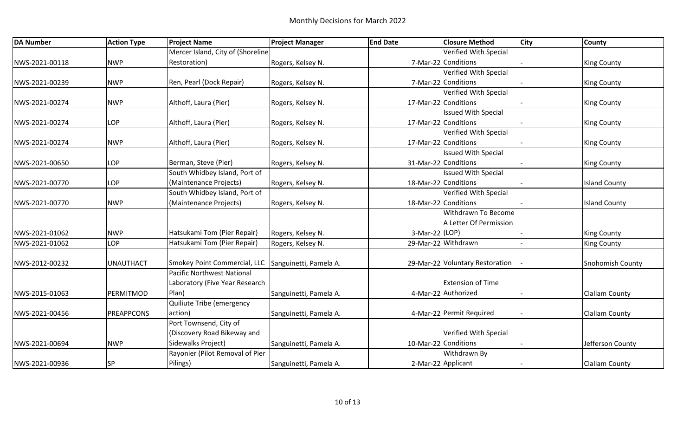| <b>DA Number</b> | <b>Action Type</b> | <b>Project Name</b>                                 | <b>Project Manager</b> | <b>End Date</b>      | <b>Closure Method</b>           | <b>City</b> | <b>County</b>         |
|------------------|--------------------|-----------------------------------------------------|------------------------|----------------------|---------------------------------|-------------|-----------------------|
|                  |                    | Mercer Island, City of (Shoreline                   |                        |                      | <b>Verified With Special</b>    |             |                       |
| NWS-2021-00118   | <b>NWP</b>         | Restoration)                                        | Rogers, Kelsey N.      |                      | 7-Mar-22 Conditions             |             | <b>King County</b>    |
|                  |                    |                                                     |                        |                      | Verified With Special           |             |                       |
| NWS-2021-00239   | <b>NWP</b>         | Ren, Pearl (Dock Repair)                            | Rogers, Kelsey N.      |                      | 7-Mar-22 Conditions             |             | <b>King County</b>    |
|                  |                    |                                                     |                        |                      | Verified With Special           |             |                       |
| NWS-2021-00274   | <b>NWP</b>         | Althoff, Laura (Pier)                               | Rogers, Kelsey N.      | 17-Mar-22 Conditions |                                 |             | <b>King County</b>    |
|                  |                    |                                                     |                        |                      | <b>Issued With Special</b>      |             |                       |
| NWS-2021-00274   | <b>LOP</b>         | Althoff, Laura (Pier)                               | Rogers, Kelsey N.      | 17-Mar-22 Conditions |                                 |             | <b>King County</b>    |
|                  |                    |                                                     |                        |                      | Verified With Special           |             |                       |
| NWS-2021-00274   | <b>NWP</b>         | Althoff, Laura (Pier)                               | Rogers, Kelsey N.      | 17-Mar-22 Conditions |                                 |             | <b>King County</b>    |
|                  |                    |                                                     |                        |                      | <b>Issued With Special</b>      |             |                       |
| NWS-2021-00650   | <b>LOP</b>         | Berman, Steve (Pier)                                | Rogers, Kelsey N.      |                      | 31-Mar-22 Conditions            |             | <b>King County</b>    |
|                  |                    | South Whidbey Island, Port of                       |                        |                      | <b>Issued With Special</b>      |             |                       |
| NWS-2021-00770   | <b>LOP</b>         | (Maintenance Projects)                              | Rogers, Kelsey N.      | 18-Mar-22 Conditions |                                 |             | <b>Island County</b>  |
|                  |                    | South Whidbey Island, Port of                       |                        |                      | Verified With Special           |             |                       |
| NWS-2021-00770   | <b>NWP</b>         | (Maintenance Projects)                              | Rogers, Kelsey N.      |                      | 18-Mar-22 Conditions            |             | <b>Island County</b>  |
|                  |                    |                                                     |                        |                      | Withdrawn To Become             |             |                       |
|                  |                    |                                                     |                        |                      | A Letter Of Permission          |             |                       |
| NWS-2021-01062   | <b>NWP</b>         | Hatsukami Tom (Pier Repair)                         | Rogers, Kelsey N.      | 3-Mar-22 (LOP)       |                                 |             | <b>King County</b>    |
| NWS-2021-01062   | <b>LOP</b>         | Hatsukami Tom (Pier Repair)                         | Rogers, Kelsey N.      |                      | 29-Mar-22 Withdrawn             |             | <b>King County</b>    |
|                  |                    |                                                     |                        |                      |                                 |             |                       |
| NWS-2012-00232   | <b>UNAUTHACT</b>   | Smokey Point Commercial, LLC Sanguinetti, Pamela A. |                        |                      | 29-Mar-22 Voluntary Restoration |             | Snohomish County      |
|                  |                    | Pacific Northwest National                          |                        |                      |                                 |             |                       |
|                  |                    | Laboratory (Five Year Research                      |                        |                      | <b>Extension of Time</b>        |             |                       |
| NWS-2015-01063   | PERMITMOD          | Plan)                                               | Sanguinetti, Pamela A. |                      | 4-Mar-22 Authorized             |             | <b>Clallam County</b> |
|                  |                    | Quiliute Tribe (emergency                           |                        |                      |                                 |             |                       |
| NWS-2021-00456   | <b>PREAPPCONS</b>  | action)                                             | Sanguinetti, Pamela A. |                      | 4-Mar-22 Permit Required        |             | <b>Clallam County</b> |
|                  |                    | Port Townsend, City of                              |                        |                      |                                 |             |                       |
|                  |                    | (Discovery Road Bikeway and                         |                        |                      | Verified With Special           |             |                       |
| NWS-2021-00694   | <b>NWP</b>         | Sidewalks Project)                                  | Sanguinetti, Pamela A. | 10-Mar-22 Conditions |                                 |             | Jefferson County      |
|                  |                    | Rayonier (Pilot Removal of Pier                     |                        |                      | Withdrawn By                    |             |                       |
| NWS-2021-00936   | <b>SP</b>          | Pilings)                                            | Sanguinetti, Pamela A. |                      | 2-Mar-22 Applicant              |             | <b>Clallam County</b> |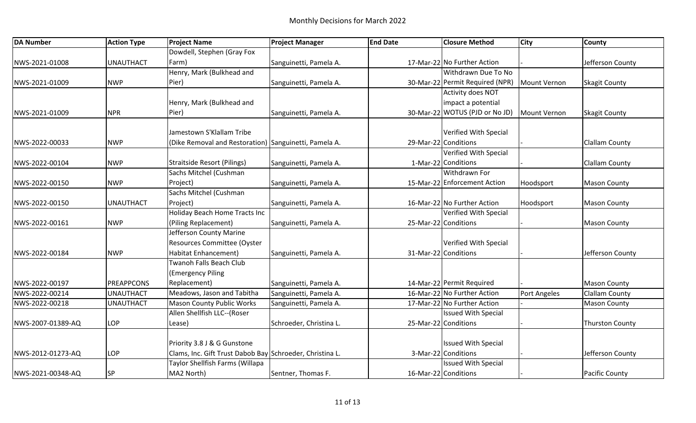| <b>DA Number</b>  | <b>Action Type</b> | <b>Project Name</b>                                      | <b>Project Manager</b>  | <b>End Date</b>      | <b>Closure Method</b>           | <b>City</b>  | <b>County</b>          |
|-------------------|--------------------|----------------------------------------------------------|-------------------------|----------------------|---------------------------------|--------------|------------------------|
|                   |                    | Dowdell, Stephen (Gray Fox                               |                         |                      |                                 |              |                        |
| NWS-2021-01008    | <b>UNAUTHACT</b>   | Farm)                                                    | Sanguinetti, Pamela A.  |                      | 17-Mar-22 No Further Action     |              | Jefferson County       |
|                   |                    | Henry, Mark (Bulkhead and                                |                         |                      | Withdrawn Due To No             |              |                        |
| NWS-2021-01009    | <b>NWP</b>         | Pier)                                                    | Sanguinetti, Pamela A.  |                      | 30-Mar-22 Permit Required (NPR) | Mount Vernon | <b>Skagit County</b>   |
|                   |                    |                                                          |                         |                      | Activity does NOT               |              |                        |
|                   |                    | Henry, Mark (Bulkhead and                                |                         |                      | impact a potential              |              |                        |
| NWS-2021-01009    | <b>NPR</b>         | Pier)                                                    | Sanguinetti, Pamela A.  |                      | 30-Mar-22 WOTUS (PJD or No JD)  | Mount Vernon | <b>Skagit County</b>   |
|                   |                    | Jamestown S'Klallam Tribe                                |                         |                      | Verified With Special           |              |                        |
| NWS-2022-00033    | <b>NWP</b>         | (Dike Removal and Restoration) Sanguinetti, Pamela A.    |                         | 29-Mar-22 Conditions |                                 |              | <b>Clallam County</b>  |
|                   |                    |                                                          |                         |                      | Verified With Special           |              |                        |
| NWS-2022-00104    | <b>NWP</b>         | <b>Straitside Resort (Pilings)</b>                       | Sanguinetti, Pamela A.  |                      | 1-Mar-22 Conditions             |              | <b>Clallam County</b>  |
|                   |                    | Sachs Mitchel (Cushman                                   |                         |                      | Withdrawn For                   |              |                        |
| NWS-2022-00150    | <b>NWP</b>         | Project)                                                 | Sanguinetti, Pamela A.  |                      | 15-Mar-22 Enforcement Action    | Hoodsport    | <b>Mason County</b>    |
|                   |                    | Sachs Mitchel (Cushman                                   |                         |                      |                                 |              |                        |
| NWS-2022-00150    | <b>UNAUTHACT</b>   | Project)                                                 | Sanguinetti, Pamela A.  |                      | 16-Mar-22 No Further Action     | Hoodsport    | <b>Mason County</b>    |
|                   |                    | Holiday Beach Home Tracts Inc                            |                         |                      | Verified With Special           |              |                        |
| NWS-2022-00161    | <b>NWP</b>         | (Piling Replacement)                                     | Sanguinetti, Pamela A.  | 25-Mar-22 Conditions |                                 |              | <b>Mason County</b>    |
|                   |                    | Jefferson County Marine                                  |                         |                      |                                 |              |                        |
|                   |                    | Resources Committee (Oyster                              |                         |                      | Verified With Special           |              |                        |
| NWS-2022-00184    | <b>NWP</b>         | Habitat Enhancement)                                     | Sanguinetti, Pamela A.  | 31-Mar-22 Conditions |                                 |              | Jefferson County       |
|                   |                    | Twanoh Falls Beach Club                                  |                         |                      |                                 |              |                        |
|                   |                    | (Emergency Piling                                        |                         |                      |                                 |              |                        |
| NWS-2022-00197    | <b>PREAPPCONS</b>  | Replacement)                                             | Sanguinetti, Pamela A.  |                      | 14-Mar-22 Permit Required       |              | <b>Mason County</b>    |
| NWS-2022-00214    | <b>UNAUTHACT</b>   | Meadows, Jason and Tabitha                               | Sanguinetti, Pamela A.  |                      | 16-Mar-22 No Further Action     | Port Angeles | <b>Clallam County</b>  |
| NWS-2022-00218    | UNAUTHACT          | <b>Mason County Public Works</b>                         | Sanguinetti, Pamela A.  |                      | 17-Mar-22 No Further Action     |              | <b>Mason County</b>    |
|                   |                    | Allen Shellfish LLC--(Roser                              |                         |                      | <b>Issued With Special</b>      |              |                        |
| NWS-2007-01389-AQ | <b>LOP</b>         | Lease)                                                   | Schroeder, Christina L. | 25-Mar-22 Conditions |                                 |              | <b>Thurston County</b> |
|                   |                    | Priority 3.8 J & G Gunstone                              |                         |                      | <b>Issued With Special</b>      |              |                        |
|                   | LOP                | Clams, Inc. Gift Trust Dabob Bay Schroeder, Christina L. |                         |                      | 3-Mar-22 Conditions             |              | Jefferson County       |
| NWS-2012-01273-AQ |                    | Taylor Shellfish Farms (Willapa                          |                         |                      | <b>Issued With Special</b>      |              |                        |
| NWS-2021-00348-AQ | SP                 | MA2 North)                                               | Sentner, Thomas F.      | 16-Mar-22 Conditions |                                 |              | <b>Pacific County</b>  |
|                   |                    |                                                          |                         |                      |                                 |              |                        |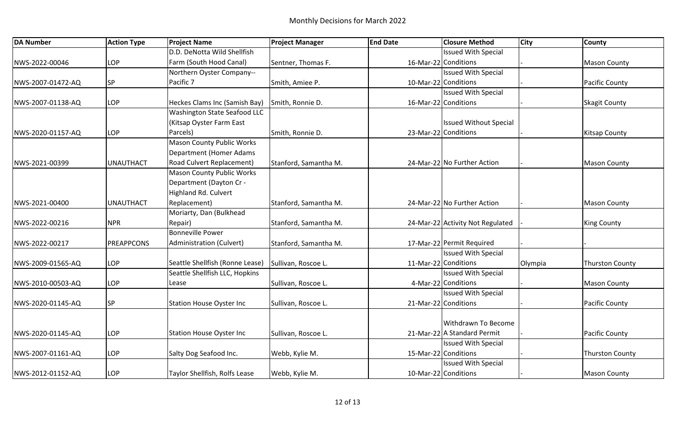| <b>DA Number</b>  | <b>Action Type</b> | <b>Project Name</b>                 | <b>Project Manager</b> | <b>End Date</b> | <b>Closure Method</b>            | <b>City</b> | <b>County</b>          |
|-------------------|--------------------|-------------------------------------|------------------------|-----------------|----------------------------------|-------------|------------------------|
|                   |                    | D.D. DeNotta Wild Shellfish         |                        |                 | <b>Issued With Special</b>       |             |                        |
| NWS-2022-00046    | LOP                | Farm (South Hood Canal)             | Sentner, Thomas F.     |                 | 16-Mar-22 Conditions             |             | <b>Mason County</b>    |
|                   |                    | Northern Oyster Company--           |                        |                 | <b>Issued With Special</b>       |             |                        |
| NWS-2007-01472-AQ | <b>SP</b>          | Pacific 7                           | Smith, Amiee P.        |                 | 10-Mar-22 Conditions             |             | <b>Pacific County</b>  |
|                   |                    |                                     |                        |                 | <b>Issued With Special</b>       |             |                        |
| NWS-2007-01138-AQ | LOP                | Heckes Clams Inc (Samish Bay)       | Smith, Ronnie D.       |                 | 16-Mar-22 Conditions             |             | <b>Skagit County</b>   |
|                   |                    | <b>Washington State Seafood LLC</b> |                        |                 |                                  |             |                        |
|                   |                    | (Kitsap Oyster Farm East            |                        |                 | <b>Issued Without Special</b>    |             |                        |
| NWS-2020-01157-AQ | LOP                | Parcels)                            | Smith, Ronnie D.       |                 | 23-Mar-22 Conditions             |             | <b>Kitsap County</b>   |
|                   |                    | <b>Mason County Public Works</b>    |                        |                 |                                  |             |                        |
|                   |                    | <b>Department (Homer Adams</b>      |                        |                 |                                  |             |                        |
| NWS-2021-00399    | <b>UNAUTHACT</b>   | Road Culvert Replacement)           | Stanford, Samantha M.  |                 | 24-Mar-22 No Further Action      |             | <b>Mason County</b>    |
|                   |                    | <b>Mason County Public Works</b>    |                        |                 |                                  |             |                        |
|                   |                    | Department (Dayton Cr -             |                        |                 |                                  |             |                        |
|                   |                    | Highland Rd. Culvert                |                        |                 |                                  |             |                        |
| NWS-2021-00400    | <b>UNAUTHACT</b>   | Replacement)                        | Stanford, Samantha M.  |                 | 24-Mar-22 No Further Action      |             | <b>Mason County</b>    |
|                   |                    | Moriarty, Dan (Bulkhead             |                        |                 |                                  |             |                        |
| NWS-2022-00216    | <b>NPR</b>         | Repair)                             | Stanford, Samantha M.  |                 | 24-Mar-22 Activity Not Regulated |             | <b>King County</b>     |
|                   |                    | <b>Bonneville Power</b>             |                        |                 |                                  |             |                        |
| NWS-2022-00217    | <b>PREAPPCONS</b>  | Administration (Culvert)            | Stanford, Samantha M.  |                 | 17-Mar-22 Permit Required        |             |                        |
|                   |                    |                                     |                        |                 | <b>Issued With Special</b>       |             |                        |
| NWS-2009-01565-AQ | LOP                | Seattle Shellfish (Ronne Lease)     | Sullivan, Roscoe L.    |                 | 11-Mar-22 Conditions             | Olympia     | <b>Thurston County</b> |
|                   |                    | Seattle Shellfish LLC, Hopkins      |                        |                 | <b>Issued With Special</b>       |             |                        |
| NWS-2010-00503-AQ | LOP                | Lease                               | Sullivan, Roscoe L.    |                 | 4-Mar-22 Conditions              |             | <b>Mason County</b>    |
|                   |                    |                                     |                        |                 | <b>Issued With Special</b>       |             |                        |
| NWS-2020-01145-AQ | <b>SP</b>          | <b>Station House Oyster Inc</b>     | Sullivan, Roscoe L.    |                 | 21-Mar-22 Conditions             |             | <b>Pacific County</b>  |
|                   |                    |                                     |                        |                 |                                  |             |                        |
|                   |                    |                                     |                        |                 | Withdrawn To Become              |             |                        |
| NWS-2020-01145-AQ | LOP                | <b>Station House Oyster Inc</b>     | Sullivan, Roscoe L.    |                 | 21-Mar-22 A Standard Permit      |             | <b>Pacific County</b>  |
|                   |                    |                                     |                        |                 | <b>Issued With Special</b>       |             |                        |
| NWS-2007-01161-AQ | LOP                | Salty Dog Seafood Inc.              | Webb, Kylie M.         |                 | 15-Mar-22 Conditions             |             | <b>Thurston County</b> |
|                   |                    |                                     |                        |                 | <b>Issued With Special</b>       |             |                        |
| NWS-2012-01152-AQ | LOP                | Taylor Shellfish, Rolfs Lease       | Webb, Kylie M.         |                 | 10-Mar-22 Conditions             |             | <b>Mason County</b>    |